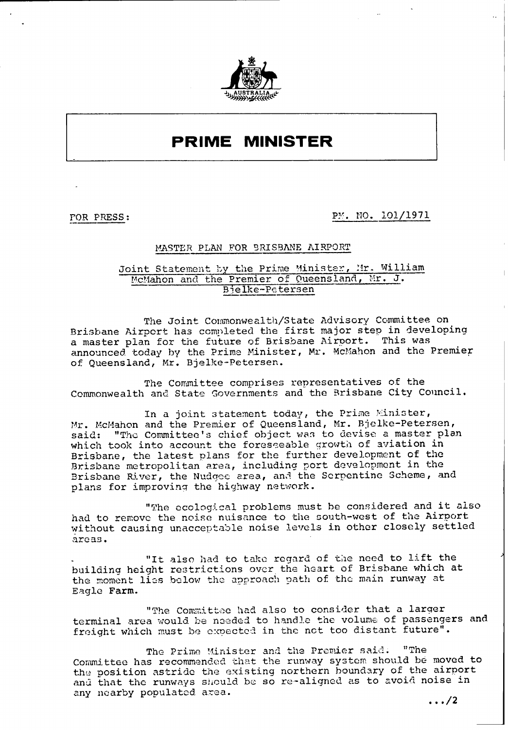

## **PRIME MINISTER**

**FOR PRESS:** PM. NO. 101/1971

## MASTER PLAN FOR BRISBANE AIRPORT

## Joint Statement by the Prime Minister, Mr. William McMahon and the Premier of Queensland, Mr. J. Bielke-Petersen

The Joint Commonwealth/State Advisory Committee on Brisbane Airport has completed the first major step in developing a master plan for the future of Brisbane Airoort. This was announced today by the Prime Minister, Mr. McMahon and the Premier of Queensland, Mr. Bjelke-Petersen.

The Committee comprises representatives of the Commonwealth and State Governments and the Brisbane City Council.

In a joint statement today, the Prime Minister, Mr. McMahon and the Premier of Queensland, Mr. Bjelke-Petersen,<br>said: "The Committee's chief object was to devise a master pla "The Committee's chief object was to devise a master plan which took into account the foreseeable qrowth of aviation in Brisbane, the latest plans for the further development of the Brisbane metropolitan area, including port development in the Brisbane River, the Nudqee area, and the Serpentine Scheme, and plans for improving the highway network.

"The ecological problems must be considered and it also had to remove the noise nuisance to the south-west of the Airport without causing unacceptable noise levels in other closely settled areas.

"It also had to take regard of the need to lift the building height restrictions over the heart of Brisbane which at the moment lies below the approach path of the main runway at Eagle Farm.

"The Conmittee had also to consider that a larger terminal area would be needed to handle the volume of passengers and freight which must be expected in the not too distant future".

The Prime Minister and the Premier said. "The Committee has recommended that the runway system should be moved to the position astride the existing northern boundary of the airport and that the runways should be so re-aligned as to avoid noise in any nearby populated area. **/2**